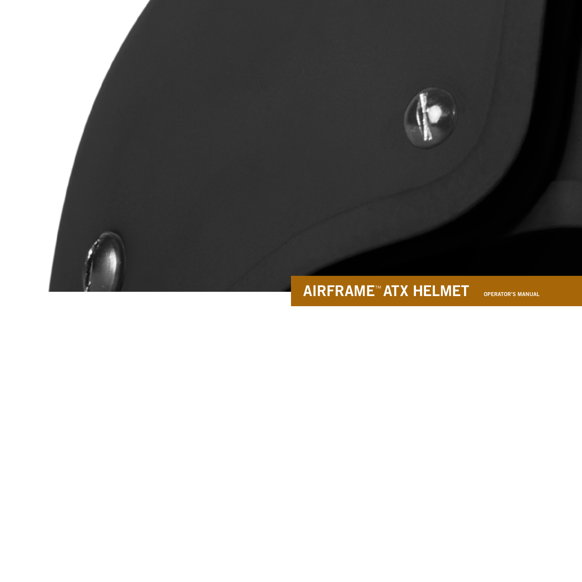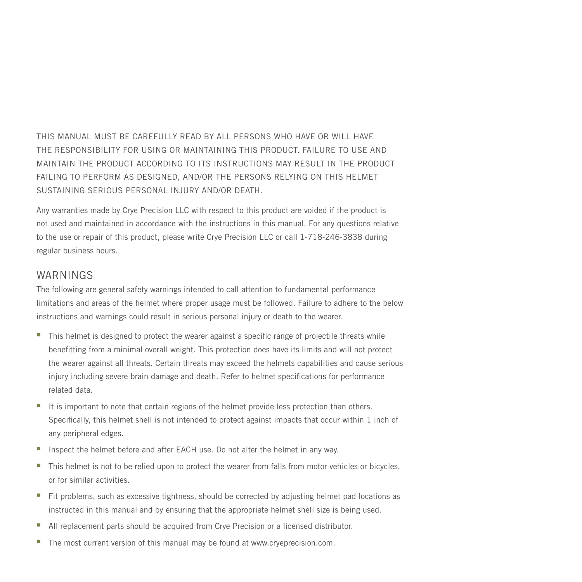THIS MANUAL MUST BE CAREFULLY READ BY ALL PERSONS WHO HAVE OR WILL HAVE THE RESPONSIBILITY FOR USING OR MAINTAINING THIS PRODUCT. FAILURE TO USE AND MAINTAIN THE PRODUCT ACCORDING TO ITS INSTRUCTIONS MAY RESULT IN THE PRODUCT FAILING TO PERFORM AS DESIGNED, AND/OR THE PERSONS RELYING ON THIS HELMET SUSTAINING SERIOUS PERSONAL INJURY AND/OR DEATH.

Any warranties made by Crye Precision LLC with respect to this product are voided if the product is not used and maintained in accordance with the instructions in this manual. For any questions relative to the use or repair of this product, please write Crye Precision LLC or call 1-718-246-3838 during regular business hours.

### WARNINGS

The following are general safety warnings intended to call attention to fundamental performance limitations and areas of the helmet where proper usage must be followed. Failure to adhere to the below instructions and warnings could result in serious personal injury or death to the wearer.

- This helmet is designed to protect the wearer against a specific range of projectile threats while benefitting from a minimal overall weight. This protection does have its limits and will not protect the wearer against all threats. Certain threats may exceed the helmets capabilities and cause serious injury including severe brain damage and death. Refer to helmet specifications for performance related data.
- It is important to note that certain regions of the helmet provide less protection than others. Specifically, this helmet shell is not intended to protect against impacts that occur within 1 inch of any peripheral edges.
- Inspect the helmet before and after EACH use. Do not alter the helmet in any way.
- This helmet is not to be relied upon to protect the wearer from falls from motor vehicles or bicycles, or for similar activities.
- Fit problems, such as excessive tightness, should be corrected by adjusting helmet pad locations as instructed in this manual and by ensuring that the appropriate helmet shell size is being used.
- All replacement parts should be acquired from Crye Precision or a licensed distributor.
- The most current version of this manual may be found at www.cryeprecision.com.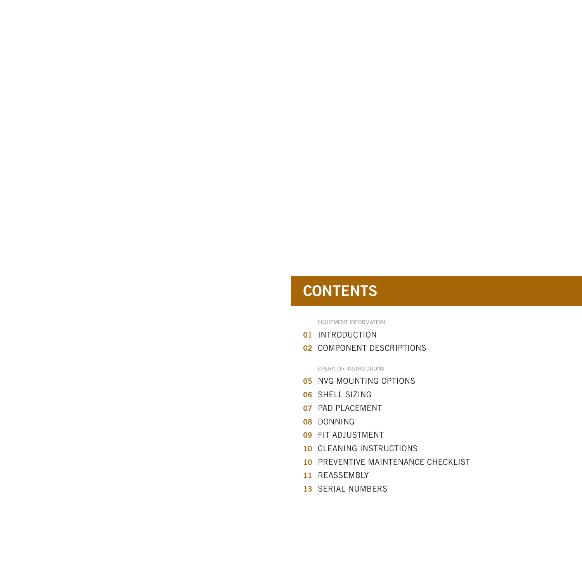# **CONTENTS**

EQUIPMENT INFORMATION

- 01 INTRODUCTION
- **02 COMPONENT DESCRIPTIONS**

OPERATOR INSTRUCTIONS

- **05 NVG MOUNTING OPTIONS**
- 06 SHELL SIZING
- 07 PAD PLACEMENT
- 08 DONNING
- 09 FIT ADJUSTMENT
- 10 CLEANING INSTRUCTIONS
- 10 PREVENTIVE MAINTENANCE CHECKLIST
- 11 REASSEMBLY
- 13 SERIAL NUMBERS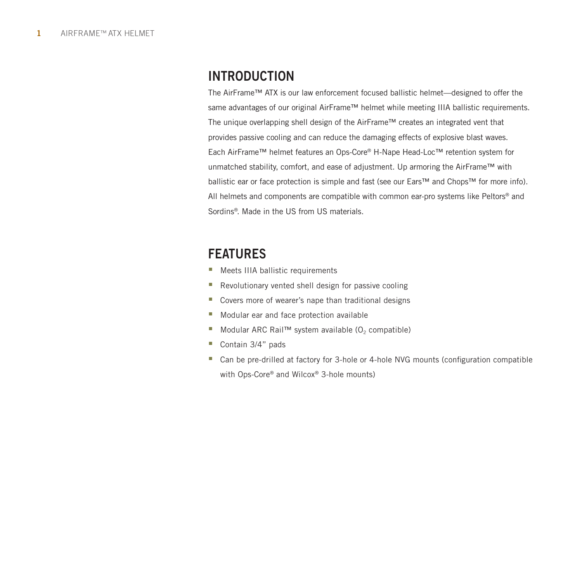# INTRODUCTION

The AirFrame™ ATX is our law enforcement focused ballistic helmet—designed to offer the same advantages of our original AirFrame™ helmet while meeting IIIA ballistic requirements. The unique overlapping shell design of the AirFrame™ creates an integrated vent that provides passive cooling and can reduce the damaging effects of explosive blast waves. Each AirFrame™ helmet features an Ops-Core® H-Nape Head-Loc™ retention system for unmatched stability, comfort, and ease of adjustment. Up armoring the AirFrame™ with ballistic ear or face protection is simple and fast (see our Ears™ and Chops™ for more info). All helmets and components are compatible with common ear-pro systems like Peltors® and Sordins®. Made in the US from US materials.

# FEATURES

- **Meets IIIA ballistic requirements**
- **Revolutionary vented shell design for passive cooling**
- Covers more of wearer's nape than traditional designs
- **Modular ear and face protection available**
- Modular ARC Rail™ system available (O<sub>2</sub> compatible)
- Contain 3/4" pads
- Can be pre-drilled at factory for 3-hole or 4-hole NVG mounts (configuration compatible with Ops-Core® and Wilcox® 3-hole mounts)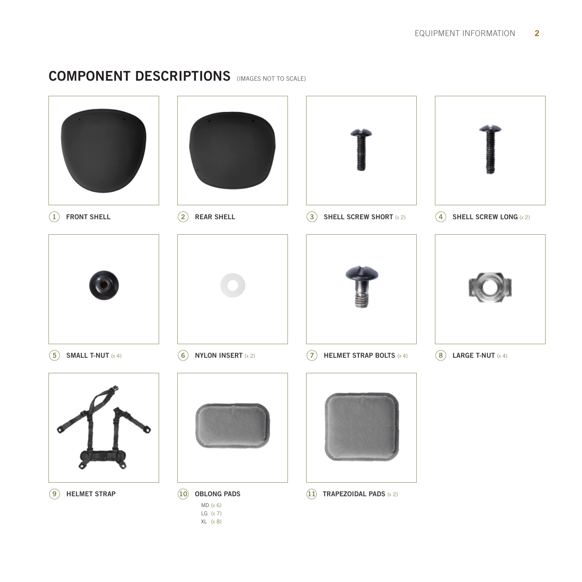# COMPONENT DESCRIPTIONS (IMAGES NOT TO SCALE)

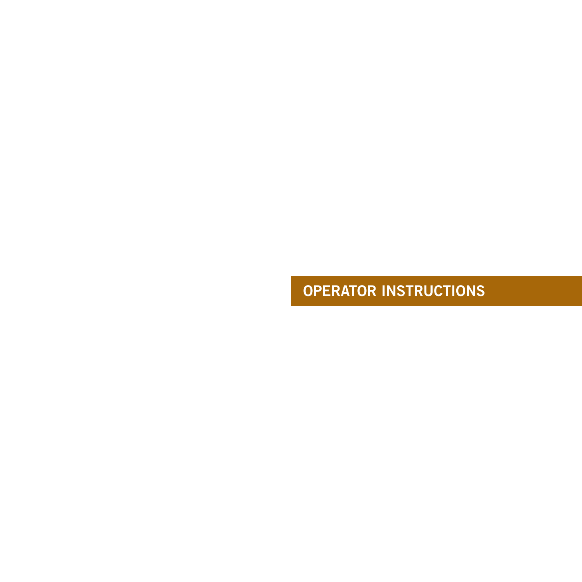# OPERATOR INSTRUCTIONS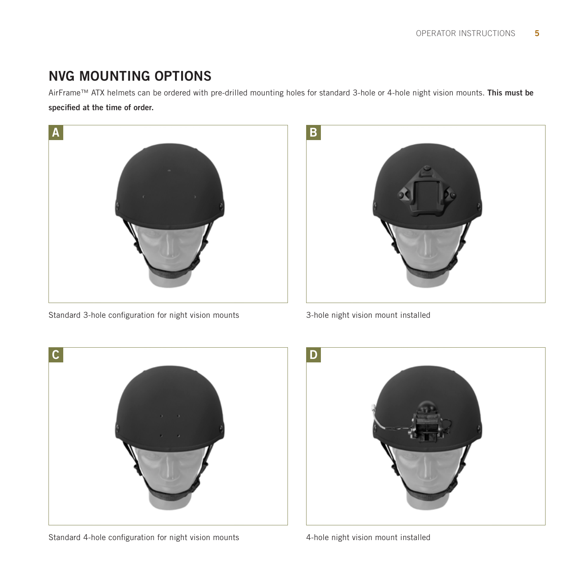# NVG MOUNTING OPTIONS

AirFrame™ ATX helmets can be ordered with pre-drilled mounting holes for standard 3-hole or 4-hole night vision mounts. This must be

specified at the time of order.



Standard 3-hole configuration for night vision mounts



3-hole night vision mount installed



Standard 4-hole configuration for night vision mounts



4-hole night vision mount installed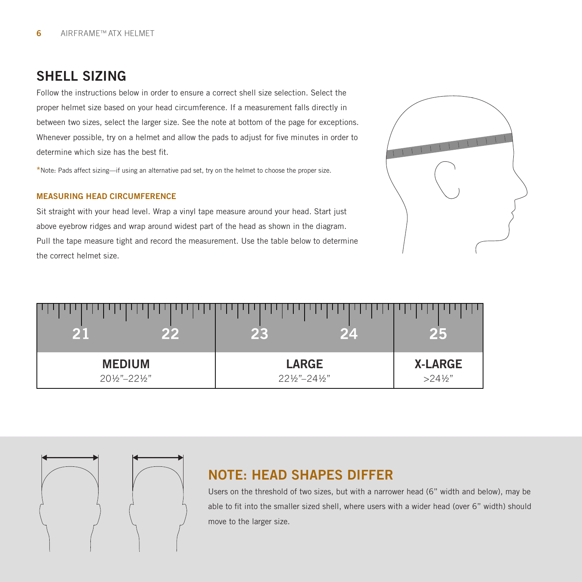# SHELL SIZING

Follow the instructions below in order to ensure a correct shell size selection. Select the proper helmet size based on your head circumference. If a measurement falls directly in between two sizes, select the larger size. See the note at bottom of the page for exceptions. Whenever possible, try on a helmet and allow the pads to adjust for five minutes in order to determine which size has the best fit.

\*Note: Pads affect sizing—if using an alternative pad set, try on the helmet to choose the proper size.

### MEASURING HEAD CIRCUMFERENCE

Sit straight with your head level. Wrap a vinyl tape measure around your head. Start just above eyebrow ridges and wrap around widest part of the head as shown in the diagram. Pull the tape measure tight and record the measurement. Use the table below to determine the correct helmet size.



| - 11<br>91 P.A | 24            | 25                 |
|----------------|---------------|--------------------|
| <b>MEDIUM</b>  | <b>LARGE</b>  | <b>X-LARGE</b>     |
| 201/2"-221/2"  | 221/2"-241/2" | $>24\frac{1}{2}$ " |

# NOTE: HEAD SHAPES DIFFER

Users on the threshold of two sizes, but with a narrower head (6" width and below), may be able to fit into the smaller sized shell, where users with a wider head (over 6" width) should move to the larger size.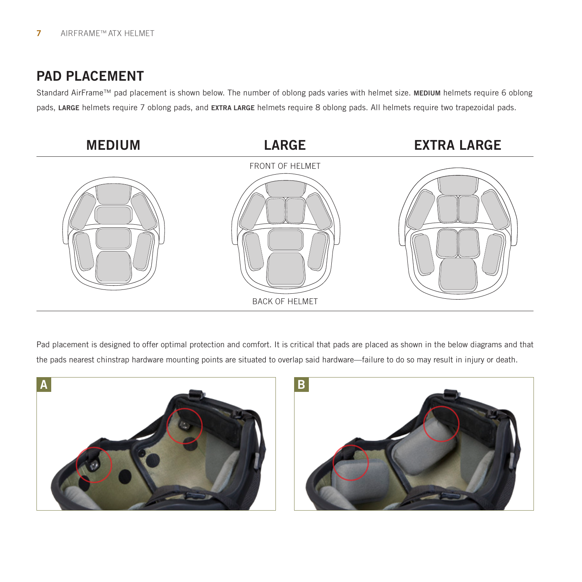# PAD PLACEMENT

Standard AirFrame™ pad placement is shown below. The number of oblong pads varies with helmet size. MEDIUM helmets require 6 oblong pads, LARGE helmets require 7 oblong pads, and EXTRA LARGE helmets require 8 oblong pads. All helmets require two trapezoidal pads.



Pad placement is designed to offer optimal protection and comfort. It is critical that pads are placed as shown in the below diagrams and that the pads nearest chinstrap hardware mounting points are situated to overlap said hardware—failure to do so may result in injury or death.



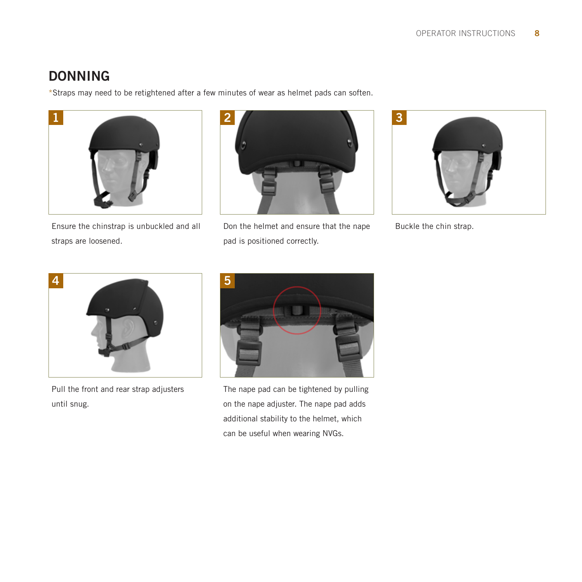# DONNING

\*Straps may need to be retightened after a few minutes of wear as helmet pads can soften.



Ensure the chinstrap is unbuckled and all straps are loosened.



Don the helmet and ensure that the nape pad is positioned correctly.



Buckle the chin strap.



Pull the front and rear strap adjusters until snug.



The nape pad can be tightened by pulling on the nape adjuster. The nape pad adds additional stability to the helmet, which can be useful when wearing NVGs.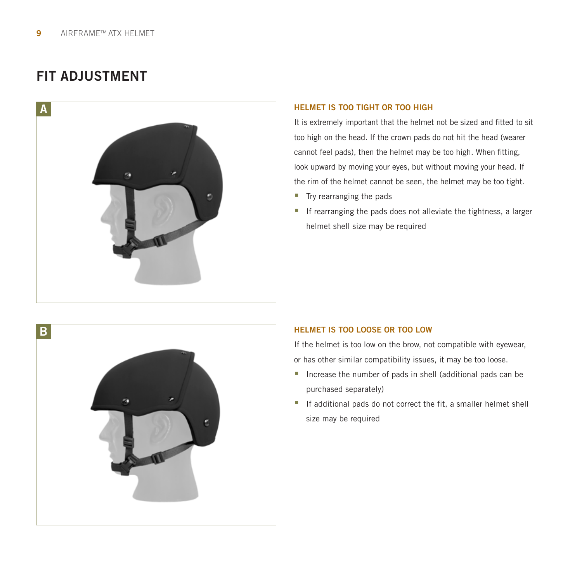# FIT ADJUSTMENT



### HELMET IS TOO TIGHT OR TOO HIGH

It is extremely important that the helmet not be sized and fitted to sit too high on the head. If the crown pads do not hit the head (wearer cannot feel pads), then the helmet may be too high. When fitting, look upward by moving your eyes, but without moving your head. If the rim of the helmet cannot be seen, the helmet may be too tight.

- Try rearranging the pads
- If rearranging the pads does not alleviate the tightness, a larger helmet shell size may be required



### HELMET IS TOO LOOSE OR TOO LOW

If the helmet is too low on the brow, not compatible with eyewear, or has other similar compatibility issues, it may be too loose.

- Increase the number of pads in shell (additional pads can be purchased separately)
- If additional pads do not correct the fit, a smaller helmet shell size may be required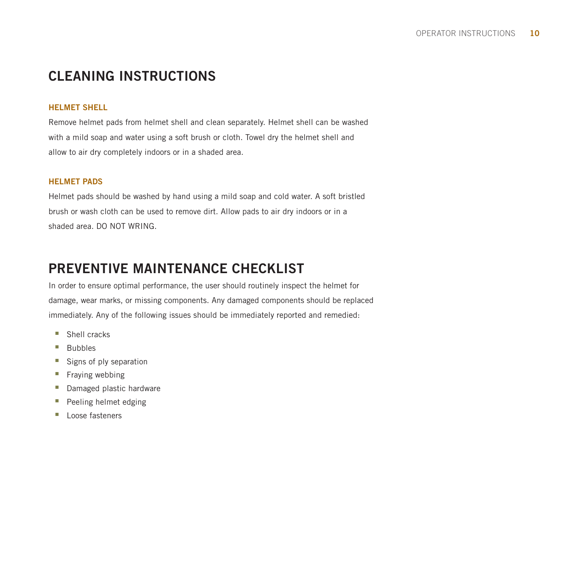# CLEANING INSTRUCTIONS

### HELMET SHELL

Remove helmet pads from helmet shell and clean separately. Helmet shell can be washed with a mild soap and water using a soft brush or cloth. Towel dry the helmet shell and allow to air dry completely indoors or in a shaded area.

### HELMET PADS

Helmet pads should be washed by hand using a mild soap and cold water. A soft bristled brush or wash cloth can be used to remove dirt. Allow pads to air dry indoors or in a shaded area. DO NOT WRING.

# PREVENTIVE MAINTENANCE CHECKLIST

In order to ensure optimal performance, the user should routinely inspect the helmet for damage, wear marks, or missing components. Any damaged components should be replaced immediately. Any of the following issues should be immediately reported and remedied:

- Shell cracks
- **Bubbles**
- Signs of ply separation
- **Fraying webbing**
- Damaged plastic hardware
- Peeling helmet edging
- **Loose fasteners**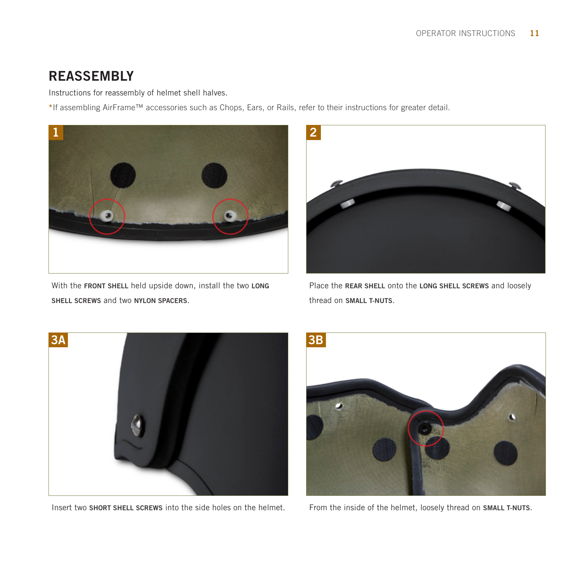# **REASSEMBLY**

Instructions for reassembly of helmet shell halves.

\*If assembling AirFrame™ accessories such as Chops, Ears, or Rails, refer to their instructions for greater detail.



With the FRONT SHELL held upside down, install the two LONG SHELL SCREWS and two NYLON SPACERS.



Place the REAR SHELL onto the LONG SHELL SCREWS and loosely thread on SMALL T-NUTS.



Insert two SHORT SHELL SCREWS into the side holes on the helmet.



From the inside of the helmet, loosely thread on SMALL T-NUTS.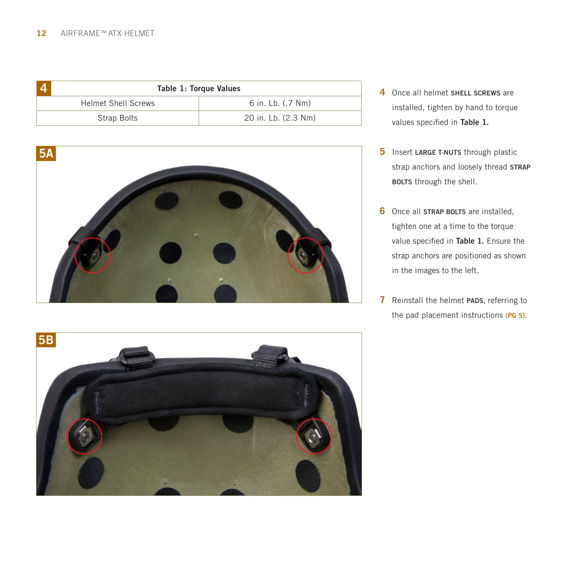| Table 1: Torque Values     |                     |  |  |  |
|----------------------------|---------------------|--|--|--|
| <b>Helmet Shell Screws</b> | 6 in. Lb. (.7 Nm)   |  |  |  |
| Strap Bolts                | 20 in. Lb. (2.3 Nm) |  |  |  |



- **4** Once all helmet SHELL SCREWS are installed, tighten by hand to torque values specified in Table 1.
- **5** Insert LARGE T-NUTS through plastic strap anchors and loosely thread STRAP BOLTS through the shell.
- **6** Once all **STRAP BOLTS** are installed. tighten one at a time to the torque value specified in Table 1. Ensure the strap anchors are positioned as shown in the images to the left.
- **7** Reinstall the helmet PADS, referring to the pad placement instructions (PG 5).

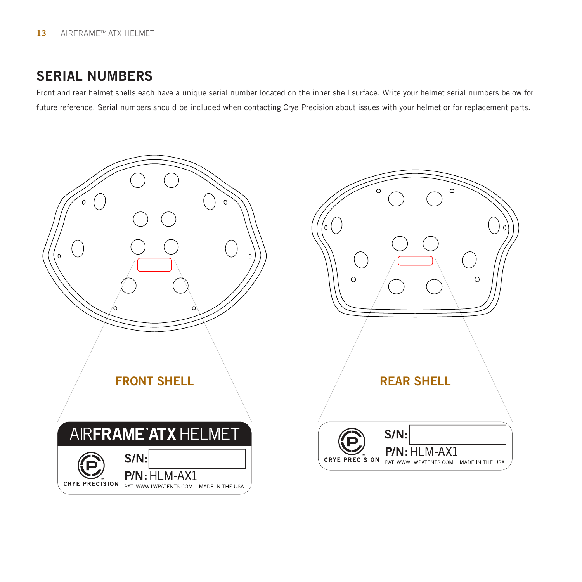# SERIAL NUMBERS

Front and rear helmet shells each have a unique serial number located on the inner shell surface. Write your helmet serial numbers below for future reference. Serial numbers should be included when contacting Crye Precision about issues with your helmet or for replacement parts.



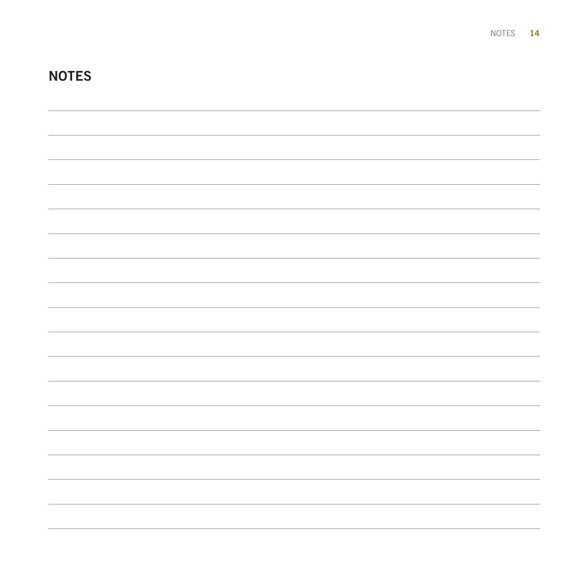| <b>NOTES</b> |  |  |  |
|--------------|--|--|--|
|              |  |  |  |
|              |  |  |  |
|              |  |  |  |
|              |  |  |  |
|              |  |  |  |
|              |  |  |  |
|              |  |  |  |
|              |  |  |  |
|              |  |  |  |
|              |  |  |  |
|              |  |  |  |
|              |  |  |  |
|              |  |  |  |
|              |  |  |  |
|              |  |  |  |
|              |  |  |  |
|              |  |  |  |
|              |  |  |  |

NOTES 14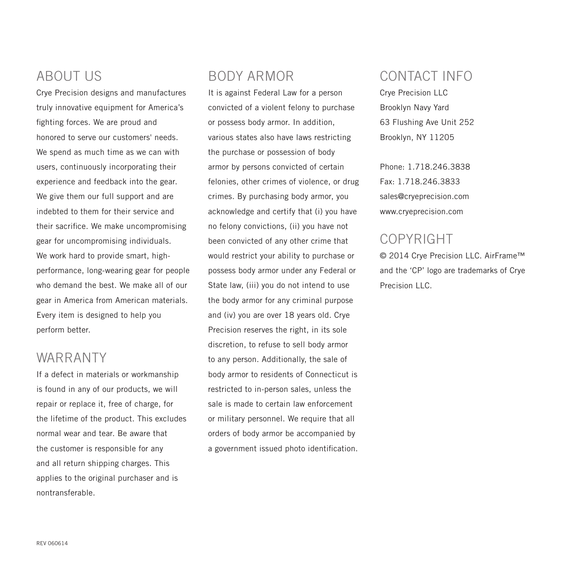# ABOUT US

Crye Precision designs and manufactures truly innovative equipment for America's fighting forces. We are proud and honored to serve our customers' needs. We spend as much time as we can with users, continuously incorporating their experience and feedback into the gear. We give them our full support and are indebted to them for their service and their sacrifice. We make uncompromising gear for uncompromising individuals. We work hard to provide smart, highperformance, long-wearing gear for people who demand the best. We make all of our gear in America from American materials. Every item is designed to help you perform better.

# WARRANTY

If a defect in materials or workmanship is found in any of our products, we will repair or replace it, free of charge, for the lifetime of the product. This excludes normal wear and tear. Be aware that the customer is responsible for any and all return shipping charges. This applies to the original purchaser and is nontransferable.

# BODY ARMOR

It is against Federal Law for a person convicted of a violent felony to purchase or possess body armor. In addition, various states also have laws restricting the purchase or possession of body armor by persons convicted of certain felonies, other crimes of violence, or drug crimes. By purchasing body armor, you acknowledge and certify that (i) you have no felony convictions, (ii) you have not been convicted of any other crime that would restrict your ability to purchase or possess body armor under any Federal or State law, (iii) you do not intend to use the body armor for any criminal purpose and (iv) you are over 18 years old. Crye Precision reserves the right, in its sole discretion, to refuse to sell body armor to any person. Additionally, the sale of body armor to residents of Connecticut is restricted to in-person sales, unless the sale is made to certain law enforcement or military personnel. We require that all orders of body armor be accompanied by a government issued photo identification.

# CONTACT INFO

Crye Precision LLC Brooklyn Navy Yard 63 Flushing Ave Unit 252 Brooklyn, NY 11205

Phone: 1.718.246.3838 Fax: 1.718.246.3833 sales@cryeprecision.com www.cryeprecision.com

# COPYRIGHT

© 2014 Crye Precision LLC. AirFrame™ and the 'CP' logo are trademarks of Crye Precision LLC.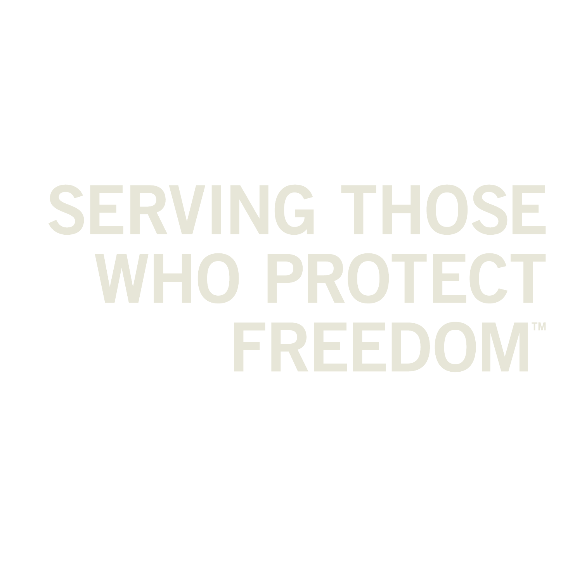# SERVING THOSE **WHO PROTECT** FREEDOM"